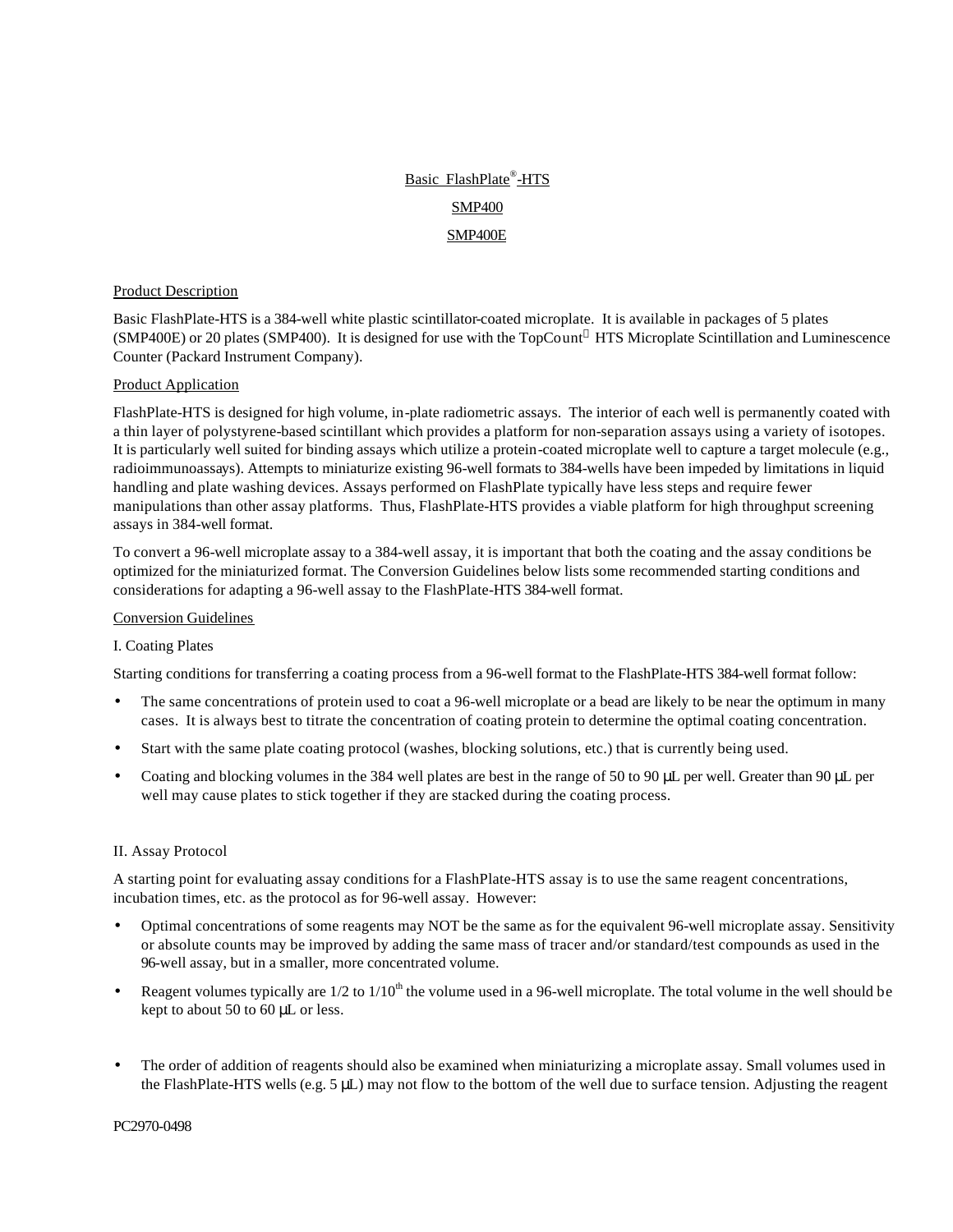# Basic FlashPlate®-HTS SMP400 SMP400E

## Product Description

Basic FlashPlate-HTS is a 384-well white plastic scintillator-coated microplate. It is available in packages of 5 plates (SMP400E) or 20 plates (SMP400). It is designed for use with the TopCount® HTS Microplate Scintillation and Luminescence Counter (Packard Instrument Company).

#### Product Application

FlashPlate-HTS is designed for high volume, in-plate radiometric assays. The interior of each well is permanently coated with a thin layer of polystyrene-based scintillant which provides a platform for non-separation assays using a variety of isotopes. It is particularly well suited for binding assays which utilize a protein-coated microplate well to capture a target molecule (e.g., radioimmunoassays). Attempts to miniaturize existing 96-well formats to 384-wells have been impeded by limitations in liquid handling and plate washing devices. Assays performed on FlashPlate typically have less steps and require fewer manipulations than other assay platforms. Thus, FlashPlate-HTS provides a viable platform for high throughput screening assays in 384-well format.

To convert a 96-well microplate assay to a 384-well assay, it is important that both the coating and the assay conditions be optimized for the miniaturized format. The Conversion Guidelines below lists some recommended starting conditions and considerations for adapting a 96-well assay to the FlashPlate-HTS 384-well format.

#### Conversion Guidelines

#### I. Coating Plates

Starting conditions for transferring a coating process from a 96-well format to the FlashPlate-HTS 384-well format follow:

- The same concentrations of protein used to coat a 96-well microplate or a bead are likely to be near the optimum in many cases. It is always best to titrate the concentration of coating protein to determine the optimal coating concentration.
- Start with the same plate coating protocol (washes, blocking solutions, etc.) that is currently being used.
- Coating and blocking volumes in the 384 well plates are best in the range of 50 to 90 μL per well. Greater than 90 μL per well may cause plates to stick together if they are stacked during the coating process.

#### II. Assay Protocol

A starting point for evaluating assay conditions for a FlashPlate-HTS assay is to use the same reagent concentrations, incubation times, etc. as the protocol as for 96-well assay. However:

- Optimal concentrations of some reagents may NOT be the same as for the equivalent 96-well microplate assay. Sensitivity or absolute counts may be improved by adding the same mass of tracer and/or standard/test compounds as used in the 96-well assay, but in a smaller, more concentrated volume.
- Reagent volumes typically are  $1/2$  to  $1/10<sup>th</sup>$  the volume used in a 96-well microplate. The total volume in the well should be kept to about 50 to 60 μL or less.
- The order of addition of reagents should also be examined when miniaturizing a microplate assay. Small volumes used in the FlashPlate-HTS wells (e.g.  $5 \mu L$ ) may not flow to the bottom of the well due to surface tension. Adjusting the reagent